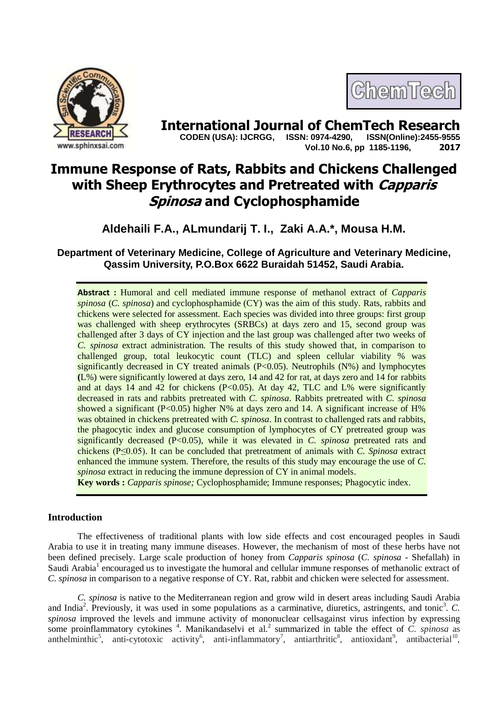



**International Journal of ChemTech Research**<br>CODEN (USA): IJCRGG. ISSN: 0974-4290. ISSN(Online):2455-9555  **CODEN (USA): IJCRGG, ISSN: 0974-4290, Vol.10 No.6, pp 1185-1196, 2017**

# **Immune Response of Rats, Rabbits and Chickens Challenged with Sheep Erythrocytes and Pretreated with Capparis Spinosa and Cyclophosphamide**

**Aldehaili F.A., ALmundarij T. I., Zaki A.A.\*, Mousa H.M.**

## **Department of Veterinary Medicine, College of Agriculture and Veterinary Medicine, Qassim University, P.O.Box 6622 Buraidah 51452, Saudi Arabia.**

**Abstract :** Humoral and cell mediated immune response of methanol extract of *Capparis spinosa* (*C. spinosa*) and cyclophosphamide (CY) was the aim of this study. Rats, rabbits and chickens were selected for assessment. Each species was divided into three groups: first group was challenged with sheep erythrocytes (SRBCs) at days zero and 15, second group was challenged after 3 days of CY injection and the last group was challenged after two weeks of *C. spinosa* extract administration. The results of this study showed that, in comparison to challenged group, total leukocytic count (TLC) and spleen cellular viability % was significantly decreased in CY treated animals  $(P<0.05)$ . Neutrophils  $(N\%)$  and lymphocytes **(**L%) were significantly lowered at days zero, 14 and 42 for rat, at days zero and 14 for rabbits and at days 14 and 42 for chickens  $(P<0.05)$ . At day 42, TLC and L% were significantly decreased in rats and rabbits pretreated with *C. spinosa*. Rabbits pretreated with *C. spinosa*  showed a significant  $(P<0.05)$  higher N% at days zero and 14. A significant increase of H% was obtained in chickens pretreated with *C. spinosa*. In contrast to challenged rats and rabbits, the phagocytic index and glucose consumption of lymphocytes of CY pretreated group was significantly decreased (P<0.05), while it was elevated in *C. spinosa* pretreated rats and chickens (P≤0.05). It can be concluded that pretreatment of animals with *C. Spinosa* extract enhanced the immune system. Therefore, the results of this study may encourage the use of *C. spinosa* extract in reducing the immune depression of CY in animal models.

**Key words :** *Capparis spinose;* Cyclophosphamide; Immune responses; Phagocytic index.

## **Introduction**

The effectiveness of traditional plants with low side effects and cost encouraged peoples in Saudi Arabia to use it in treating many immune diseases. However, the mechanism of most of these herbs have not been defined precisely. Large scale production of honey from *Capparis spinosa* (*C. spinosa* - Shefallah) in Saudi Arabia<sup>1</sup> encouraged us to investigate the humoral and cellular immune responses of methanolic extract of *C. spinosa* in comparison to a negative response of CY. Rat, rabbit and chicken were selected for assessment.

*C. spinosa* is native to the Mediterranean region and grow wild in desert areas including Saudi Arabia and India<sup>2</sup>. Previously, it was used in some populations as a carminative, diuretics, astringents, and tonic<sup>3</sup>.  $C$ . *spinosa* improved the levels and immune activity of mononuclear cellsagainst virus infection by expressing some proinflammatory cytokines <sup>4</sup>. Manikandaselvi et al.<sup>2</sup> summarized in table the effect of *C. spinosa* as anthelminthic<sup>5</sup>, anti-cytotoxic activity<sup>6</sup>, anti-inflammatory<sup>7</sup>, antiarthritic<sup>8</sup>, antioxidant<sup>9</sup>, antibacterial<sup>10</sup>,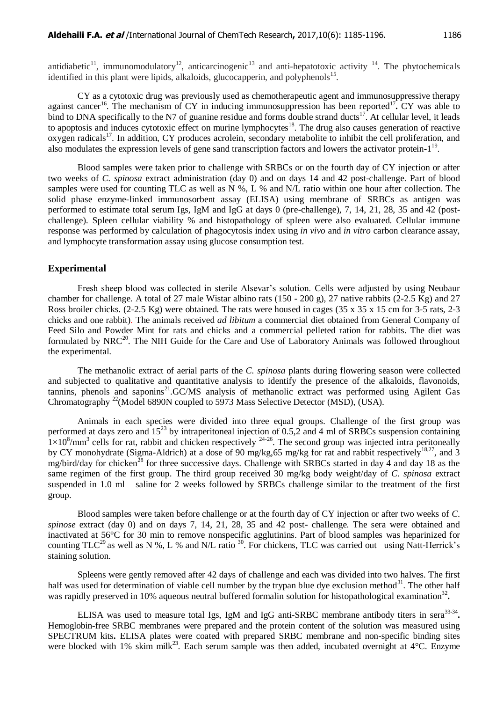antidiabetic<sup>11</sup>, immunomodulatory<sup>12</sup>, anticarcinogenic<sup>13</sup> and anti-hepatotoxic activity <sup>14</sup>. The phytochemicals identified in this plant were lipids, alkaloids, glucocapperin, and polyphenols<sup>15</sup>.

CY as a cytotoxic drug was previously used as chemotherapeutic agent and immunosuppressive therapy against cancer<sup>16</sup>. The mechanism of CY in inducing immunosuppression has been reported<sup>17</sup>. CY was able to bind to DNA specifically to the N7 of guanine residue and forms double strand ducts<sup>17</sup>. At cellular level, it leads to apoptosis and induces cytotoxic effect on murine lymphocytes<sup>18</sup>. The drug also causes generation of reactive oxygen radicals<sup>17</sup>. In addition, CY produces acrolein, secondary metabolite to inhibit the cell proliferation, and also modulates the expression levels of gene sand transcription factors and lowers the activator protein-1<sup>19</sup>.

Blood samples were taken prior to challenge with SRBCs or on the fourth day of CY injection or after two weeks of *C. spinosa* extract administration (day 0) and on days 14 and 42 post-challenge. Part of blood samples were used for counting TLC as well as N %, L % and N/L ratio within one hour after collection. The solid phase enzyme-linked immunosorbent assay (ELISA) using membrane of SRBCs as antigen was performed to estimate total serum Igs, IgM and IgG at days 0 (pre-challenge), 7, 14, 21, 28, 35 and 42 (postchallenge). Spleen cellular viability % and histopathology of spleen were also evaluated. Cellular immune response was performed by calculation of phagocytosis index using *in vivo* and *in vitro* carbon clearance assay, and lymphocyte transformation assay using glucose consumption test.

#### **Experimental**

Fresh sheep blood was collected in sterile Alsevar"s solution. Cells were adjusted by using Neubaur chamber for challenge. A total of 27 male Wistar albino rats (150 - 200 g), 27 native rabbits (2-2.5 Kg) and 27 Ross broiler chicks. (2-2.5 Kg) were obtained. The rats were housed in cages (35 x 35 x 15 cm for 3-5 rats, 2-3 chicks and one rabbit). The animals received *ad libitum* a commercial diet obtained from General Company of Feed Silo and Powder Mint for rats and chicks and a commercial pelleted ration for rabbits. The diet was formulated by  $NRC^{20}$ . The NIH Guide for the Care and Use of Laboratory Animals was followed throughout the experimental.

The methanolic extract of aerial parts of the *C. spinosa* plants during flowering season were collected and subjected to qualitative and quantitative analysis to identify the presence of the alkaloids, flavonoids, tannins, phenols and saponins<sup>21</sup>.GC/MS analysis of methanolic extract was performed using Agilent Gas Chromatography <sup>22</sup>(Model 6890N coupled to 5973 Mass Selective Detector (MSD), (USA).

Animals in each species were divided into three equal groups. Challenge of the first group was performed at days zero and  $15^{23}$  by intraperitoneal injection of 0.5,2 and 4 ml of SRBCs suspension containing  $1\times10^8/\text{mm}^3$  cells for rat, rabbit and chicken respectively  $^{24-26}$ . The second group was injected intra peritoneally by CY monohydrate (Sigma-Aldrich) at a dose of 90 mg/kg,65 mg/kg for rat and rabbit respectively<sup>18,27</sup>, and 3 mg/bird/day for chicken<sup>28</sup> for three successive days. Challenge with SRBCs started in day 4 and day 18 as the same regimen of the first group. The third group received 30 mg/kg body weight/day of *C. spinosa* extract suspended in 1.0 ml saline for 2 weeks followed by SRBCs challenge similar to the treatment of the first group.

Blood samples were taken before challenge or at the fourth day of CY injection or after two weeks of *C. spinose* extract (day 0) and on days 7, 14, 21, 28, 35 and 42 post- challenge. The sera were obtained and inactivated at 56°C for 30 min to remove nonspecific agglutinins. Part of blood samples was heparinized for counting TLC<sup>29</sup> as well as N %, L % and N/L ratio  $^{30}$ . For chickens, TLC was carried out using Natt-Herrick's staining solution.

Spleens were gently removed after 42 days of challenge and each was divided into two halves. The first half was used for determination of viable cell number by the trypan blue dye exclusion method<sup>31</sup>. The other half was rapidly preserved in 10% aqueous neutral buffered formalin solution for histopathological examination<sup>32</sup>.

ELISA was used to measure total Igs, IgM and IgG anti-SRBC membrane antibody titers in sera<sup>33-34</sup>. Hemoglobin-free SRBC membranes were prepared and the protein content of the solution was measured using SPECTRUM kits**.** ELISA plates were coated with prepared SRBC membrane and non-specific binding sites were blocked with 1% skim milk<sup>23</sup>. Each serum sample was then added, incubated overnight at 4°C. Enzyme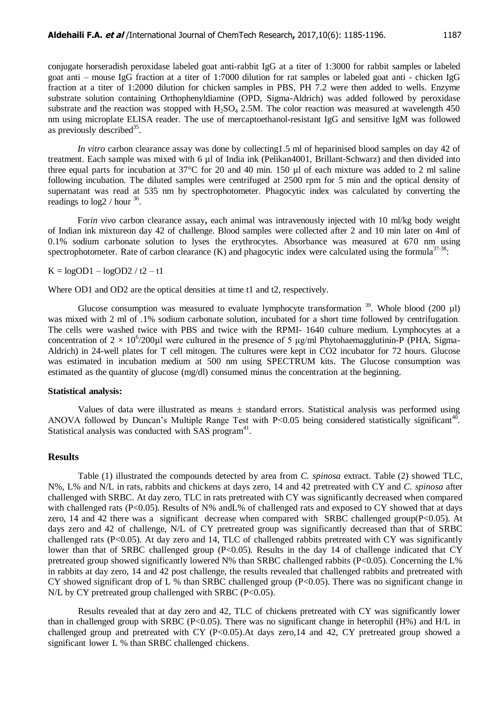conjugate horseradish peroxidase labeled goat anti-rabbit IgG at a titer of 1:3000 for rabbit samples or labeled goat anti – mouse IgG fraction at a titer of 1:7000 dilution for rat samples or labeled goat anti - chicken IgG fraction at a titer of 1:2000 dilution for chicken samples in PBS, PH 7.2 were then added to wells. Enzyme substrate solution containing Orthophenyldiamine (OPD, Sigma-Aldrich) was added followed by peroxidase substrate and the reaction was stopped with  $H_2SO_4$  2.5M. The color reaction was measured at wavelength 450 nm using microplate ELISA reader. The use of mercaptoethanol-resistant IgG and sensitive IgM was followed as previously described<sup>35</sup>.

*In vitro* carbon clearance assay was done by collecting1.5 ml of heparinised blood samples on day 42 of treatment. Each sample was mixed with 6 µl of India ink (Pelikan4001, Brillant-Schwarz) and then divided into three equal parts for incubation at 37°C for 20 and 40 min. 150 µl of each mixture was added to 2 ml saline following incubation. The diluted samples were centrifuged at 2500 rpm for 5 min and the optical density of supernatant was read at 535 nm by spectrophotometer. Phagocytic index was calculated by converting the readings to  $log2 / hour^{36}$ .

For*in vivo* carbon clearance assay**,** each animal was intravenously injected with 10 ml/kg body weight of Indian ink mixtureon day 42 of challenge. Blood samples were collected after 2 and 10 min later on 4ml of 0.1% sodium carbonate solution to lyses the erythrocytes. Absorbance was measured at 670 nm using spectrophotometer. Rate of carbon clearance  $(K)$  and phagocytic index were calculated using the formula<sup>37-38</sup>:

 $K = logOD1 - logOD2 / t2 - t1$ 

Where OD1 and OD2 are the optical densities at time t1 and t2, respectively.

Glucose consumption was measured to evaluate lymphocyte transformation  $39$ . Whole blood (200 µl) was mixed with 2 ml of .1% sodium carbonate solution, incubated for a short time followed by centrifugation. The cells were washed twice with PBS and twice with the RPMI- 1640 culture medium. Lymphocytes at a concentration of  $2 \times 10^6$ /200 $\mu$ l were cultured in the presence of 5  $\mu$ g/ml Phytohaemagglutinin-P (PHA, Sigma-Aldrich) in 24-well plates for T cell mitogen. The cultures were kept in CO2 incubator for 72 hours. Glucose was estimated in incubation medium at 500 nm using SPECTRUM kits. The Glucose consumption was estimated as the quantity of glucose (mg/dl) consumed minus the concentration at the beginning.

#### **Statistical analysis:**

Values of data were illustrated as means  $\pm$  standard errors. Statistical analysis was performed using ANOVA followed by Duncan's Multiple Range Test with  $P<0.05$  being considered statistically significant<sup>40</sup>. Statistical analysis was conducted with SAS program<sup>41</sup>.

#### **Results**

Table (1) illustrated the compounds detected by area from *C. spinosa* extract. Table (2) showed TLC, N%, L% and N/L in rats, rabbits and chickens at days zero, 14 and 42 pretreated with CY and *C. spinosa* after challenged with SRBC. At day zero, TLC in rats pretreated with CY was significantly decreased when compared with challenged rats (P<0.05). Results of N% and L% of challenged rats and exposed to CY showed that at days zero, 14 and 42 there was a significant decrease when compared with SRBC challenged group(P<0.05). At days zero and 42 of challenge, N/L of CY pretreated group was significantly decreased than that of SRBC challenged rats (P<0.05). At day zero and 14, TLC of challenged rabbits pretreated with CY was significantly lower than that of SRBC challenged group  $(P<0.05)$ . Results in the day 14 of challenge indicated that CY pretreated group showed significantly lowered N% than SRBC challenged rabbits (P<0.05). Concerning the L% in rabbits at day zero, 14 and 42 post challenge, the results revealed that challenged rabbits and pretreated with CY showed significant drop of L % than SRBC challenged group  $(P<0.05)$ . There was no significant change in N/L by CY pretreated group challenged with SRBC (P<0.05).

Results revealed that at day zero and 42, TLC of chickens pretreated with CY was significantly lower than in challenged group with SRBC (P<0.05). There was no significant change in heterophil (H%) and H/L in challenged group and pretreated with CY  $(P<0.05)$ . At days zero, 14 and 42, CY pretreated group showed a significant lower L % than SRBC challenged chickens.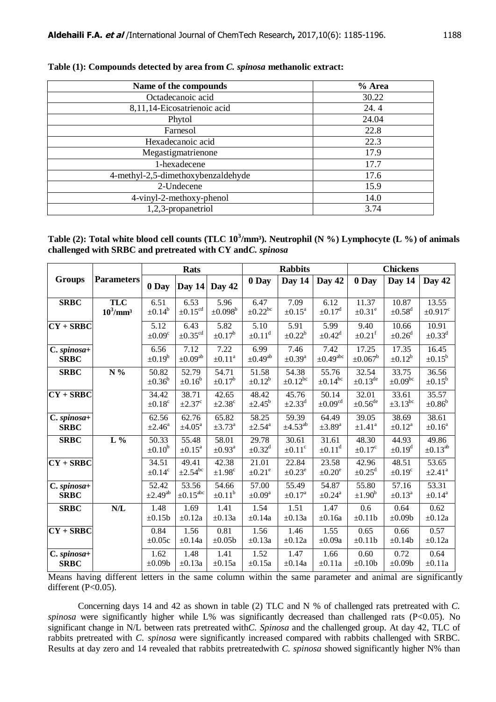| Name of the compounds              | % Area |
|------------------------------------|--------|
| Octadecanoic acid                  | 30.22  |
| 8,11,14-Eicosatrienoic acid        | 24.4   |
| Phytol                             | 24.04  |
| Farnesol                           | 22.8   |
| Hexadecanoic acid                  | 22.3   |
| Megastigmatrienone                 | 17.9   |
| 1-hexadecene                       | 17.7   |
| 4-methyl-2,5-dimethoxybenzaldehyde | 17.6   |
| 2-Undecene                         | 15.9   |
| 4-vinyl-2-methoxy-phenol           | 14.0   |
| 1,2,3-propanetriol                 | 3.74   |

**Table (1): Compounds detected by area from** *C. spinosa* **methanolic extract:**

Table (2): Total white blood cell counts (TLC  $10^3$ /mm<sup>3</sup>). Neutrophil (N %) Lymphocyte (L %) of animals **challenged with SRBC and pretreated with CY and***C. spinosa*

|                            |                                       |                                   | <b>Rats</b>                       |                                   |                                   | <b>Rabbits</b>                   |                                   |                                  | <b>Chickens</b>                  |                                  |
|----------------------------|---------------------------------------|-----------------------------------|-----------------------------------|-----------------------------------|-----------------------------------|----------------------------------|-----------------------------------|----------------------------------|----------------------------------|----------------------------------|
| <b>Groups</b>              | <b>Parameters</b>                     | 0 Day                             | Day 14                            | Day 42                            | 0 Day                             | Day 14                           | Day 42                            | 0 Day                            | Day 14                           | Day 42                           |
| <b>SRBC</b>                | <b>TLC</b><br>$10^3$ /mm <sup>3</sup> | 6.51<br>$\pm 0.14^b$              | 6.53<br>$\pm 0.15^{\text{cd}}$    | 5.96<br>$\pm 0.098^b$             | 6.47<br>$\pm 0.22^{bc}$           | 7.09<br>$\pm 0.15^{\rm a}$       | 6.12<br>$\pm 0.17^d$              | 11.37<br>$\pm 0.31^{\rm e}$      | 10.87<br>$\pm 0.58$ <sup>d</sup> | 13.55<br>$\pm 0.917^c$           |
| $CY + SRBC$                |                                       | 5.12<br>$\pm 0.09^{\circ}$        | 6.43<br>$\pm 0.35^{\text{cd}}$    | $\overline{5.82}$<br>$\pm 0.17^b$ | $\overline{5.10}$<br>$\pm 0.11^d$ | 5.91<br>$\pm 0.22^b$             | 5.99<br>$\pm 0.42^d$              | 9.40<br>$\pm 0.21$ <sup>f</sup>  | 10.66<br>$\pm 0.26$ <sup>d</sup> | 10.91<br>$\pm 0.33$ <sup>d</sup> |
| C. spinosa+<br><b>SRBC</b> |                                       | 6.56<br>$\pm 0.19^b$              | 7.12<br>$\pm 0.09^{\text{ab}}$    | 7.22<br>$\pm0.11^{\rm a}$         | 6.99<br>$\pm 0.49$ <sup>ab</sup>  | 7.46<br>$\pm 0.39^{\mathrm{a}}$  | 7.42<br>$\pm 0.49$ <sup>abc</sup> | 17.25<br>$\pm 0.067^{\rm b}$     | 17.35<br>$\pm 0.12^b$            | 16.45<br>$\pm 0.15^b$            |
| <b>SRBC</b>                | N %                                   | 50.82<br>$\pm 0.36^{\mathrm{b}}$  | 52.79<br>$\pm 0.16^b$             | 54.71<br>$\pm 0.17^b$             | 51.58<br>$\pm 0.12^b$             | 54.38<br>$\pm 0.12^{bc}$         | 55.76<br>$\pm 0.14$ <sup>bc</sup> | 32.54<br>$\pm 0.13^{\text{de}}$  | 33.75<br>$\pm 0.09$ bc           | 36.56<br>$\pm 0.15^b$            |
| $CY + SRBC$                |                                       | 34.42<br>$\pm 0.18^{\rm c}$       | 38.71<br>$\pm 2.37^c$             | 42.65<br>$\pm 2.38^{\circ}$       | 48.42<br>$\pm 2.45^b$             | 45.76<br>$\pm 2.33^d$            | 50.14<br>$\pm 0.09^{\text{cd}}$   | 32.01<br>$\pm 0.56^{\rm de}$     | 33.61<br>$\pm 3.13^{bc}$         | 35.57<br>$\pm 0.86^{\circ}$      |
| C. spinosa+<br><b>SRBC</b> |                                       | 62.56<br>$\pm 2.46^{\mathrm{a}}$  | 62.76<br>$\pm 4.05^{\text{a}}$    | 65.82<br>$\pm 3.73^{\mathrm{a}}$  | 58.25<br>$\pm 2.54$ <sup>a</sup>  | 59.39<br>$\pm 4.53^{ab}$         | 64.49<br>$\pm 3.89$ <sup>a</sup>  | 39.05<br>$\pm1.41^{\rm a}$       | 38.69<br>$\pm 0.12^a$            | 38.61<br>$\pm 0.16^a$            |
| <b>SRBC</b>                | $L\%$                                 | 50.33<br>$\pm 0.10^b$             | 55.48<br>$\pm 0.15^{\rm a}$       | 58.01<br>$\pm 0.93$ <sup>a</sup>  | 29.78<br>$\pm 0.32^d$             | 30.61<br>$\pm 0.11$ <sup>c</sup> | 31.61<br>$\pm 0.11^d$             | 48.30<br>$\pm 0.17^c$            | 44.93<br>$\pm 0.19^d$            | 49.86<br>$\pm 0.13^{ab}$         |
| $CY + SRBC$                |                                       | 34.51<br>$\pm 0.14^c$             | 49.41<br>$\pm 2.54$ <sup>bc</sup> | 42.38<br>$\pm 1.98^c$             | 21.01<br>$\pm 0.21^e$             | 22.84<br>$\pm 0.23^e$            | 23.58<br>$\pm 0.20^e$             | 42.96<br>$\pm 0.25$ <sup>d</sup> | 48.51<br>$\pm 0.19^{\circ}$      | 53.65<br>$\pm 2.41^{\circ}$      |
| C. spinosa+<br><b>SRBC</b> |                                       | 52.42<br>$\pm 2.49$ <sup>ab</sup> | 53.56<br>$\pm 0.15^{\text{abc}}$  | 54.66<br>$\pm 0.11^b$             | 57.00<br>$\pm 0.09^a$             | 55.49<br>$\pm 0.17$ <sup>a</sup> | 54.87<br>$\pm 0.24$ <sup>a</sup>  | 55.80<br>$\pm 1.90^b$            | 57.16<br>$\pm 0.13^{\text{a}}$   | 53.31<br>±0.14 <sup>a</sup>      |
| <b>SRBC</b>                | N/L                                   | 1.48<br>$\pm 0.15b$               | 1.69<br>$\pm 0.12a$               | 1.41<br>$\pm 0.13a$               | 1.54<br>$\pm 0.14a$               | 1.51<br>$\pm 0.13a$              | 1.47<br>$\pm 0.16a$               | 0.6<br>$\pm 0.11b$               | 0.64<br>$\pm 0.09b$              | 0.62<br>$\pm 0.12a$              |
| $CY + SRBC$                |                                       | 0.84<br>$\pm 0.05c$               | 1.56<br>$\pm 0.14a$               | 0.81<br>$\pm 0.05b$               | 1.56<br>$\pm 0.13a$               | 1.46<br>$\pm 0.12a$              | 1.55<br>$\pm 0.09a$               | 0.65<br>$\pm 0.11b$              | 0.66<br>$\pm 0.14b$              | 0.57<br>$\pm 0.12a$              |
| C. spinosa+<br><b>SRBC</b> |                                       | 1.62<br>$\pm 0.09b$               | 1.48<br>$\pm 0.13a$               | 1.41<br>$\pm 0.15a$               | 1.52<br>$\pm 0.15a$               | 1.47<br>$\pm 0.14a$              | 1.66<br>$\pm 0.11a$               | 0.60<br>$\pm 0.10b$              | 0.72<br>$\pm 0.09b$              | 0.64<br>$\pm 0.11a$              |

Means having different letters in the same column within the same parameter and animal are significantly different  $(P<0.05)$ .

Concerning days 14 and 42 as shown in table (2) TLC and N % of challenged rats pretreated with *C. spinosa* were significantly higher while L% was significantly decreased than challenged rats (P<0.05). No significant change in N/L between rats pretreated with*C. Spinosa* and the challenged group. At day 42, TLC of rabbits pretreated with *C. spinosa* were significantly increased compared with rabbits challenged with SRBC. Results at day zero and 14 revealed that rabbits pretreatedwith *C. spinosa* showed significantly higher N% than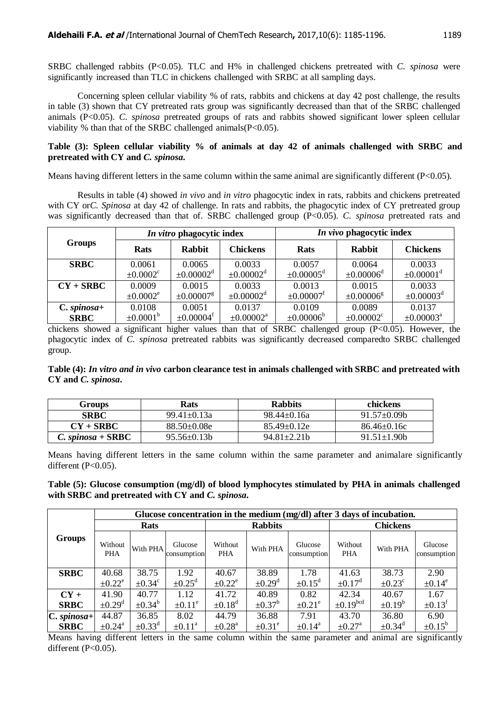SRBC challenged rabbits (P<0.05). TLC and H% in challenged chickens pretreated with *C. spinosa* were significantly increased than TLC in chickens challenged with SRBC at all sampling days.

Concerning spleen cellular viability % of rats, rabbits and chickens at day 42 post challenge, the results in table (3) shown that CY pretreated rats group was significantly decreased than that of the SRBC challenged animals (P<0.05). *C. spinosa* pretreated groups of rats and rabbits showed significant lower spleen cellular viability % than that of the SRBC challenged animals  $(P<0.05)$ .

## **Table (3): Spleen cellular viability % of animals at day 42 of animals challenged with SRBC and pretreated with CY and** *C. spinosa***.**

Means having different letters in the same column within the same animal are significantly different  $(P<0.05)$ .

Results in table (4) showed *in vivo* and *in vitro* phagocytic index in rats, rabbits and chickens pretreated with CY or*C. Spinosa* at day 42 of challenge. In rats and rabbits, the phagocytic index of CY pretreated group was significantly decreased than that of. SRBC challenged group (P<0.05). *C. spinosa* pretreated rats and

| <b>Groups</b> |                           | In vitro phagocytic index  |                            | In vivo phagocytic index   |                            |                            |  |  |
|---------------|---------------------------|----------------------------|----------------------------|----------------------------|----------------------------|----------------------------|--|--|
|               | <b>Rats</b>               | <b>Rabbit</b>              | <b>Chickens</b>            | <b>Rats</b>                | <b>Rabbit</b>              | <b>Chickens</b>            |  |  |
| <b>SRBC</b>   | 0.0061                    | 0.0065                     | 0.0033                     | 0.0057                     | 0.0064                     | 0.0033                     |  |  |
|               | $\pm 0.0002$ <sup>c</sup> | $\pm 0.00002^d$            | $\pm 0.00002$ <sup>d</sup> | $\pm 0.00005$ <sup>d</sup> | $\pm 0.00006^d$            | $\pm 0.00001$ <sup>d</sup> |  |  |
| $CY + SRBC$   | 0.0009                    | 0.0015                     | 0.0033                     | 0.0013                     | 0.0015                     | 0.0033                     |  |  |
|               | $\pm 0.0002^e$            | $\pm 0.00007$ <sup>g</sup> | $\pm 0.00002$ <sup>d</sup> | $\pm 0.00007$ <sup>f</sup> | ±0.00006 <sup>g</sup>      | $\pm 0.00003^d$            |  |  |
| $C. spinosa+$ | 0.0108                    | 0.0051                     | 0.0137                     | 0.0109                     | 0.0089                     | 0.0137                     |  |  |
| <b>SRBC</b>   | $\pm 0.0001^{\rm b}$      | $\pm 0.00004$ <sup>f</sup> | $\pm 0.00002^{\rm a}$      | $\pm 0.00006^{\rm b}$      | $\pm 0.00002$ <sup>c</sup> | $\pm 0.00003^{\rm a}$      |  |  |

chickens showed a significant higher values than that of SRBC challenged group  $(P<0.05)$ . However, the phagocytic index of *C. spinosa* pretreated rabbits was significantly decreased comparedto SRBC challenged group.

**Table (4):** *In vitro and in vivo* **carbon clearance test in animals challenged with SRBC and pretreated with CY and** *C. spinosa***.**

| Groups              | <b>Rats</b>        | <b>Rabbits</b>  | chickens           |
|---------------------|--------------------|-----------------|--------------------|
| <b>SRBC</b>         | $99.41 \pm 0.13a$  | $98.44 + 0.16a$ | $91.57 \pm 0.09$ b |
| $CY + SRBC$         | $88.50\pm0.08e$    | $85.49 + 0.12e$ | $86.46 \pm 0.16c$  |
| $C. spinosa + SRBC$ | $95.56 \pm 0.13 b$ | $94.81 + 2.21h$ | $91.51 \pm 1.90b$  |

Means having different letters in the same column within the same parameter and animalare significantly different  $(P<0.05)$ .

| Table (5): Glucose consumption (mg/dl) of blood lymphocytes stimulated by PHA in animals challenged |  |
|-----------------------------------------------------------------------------------------------------|--|
| with SRBC and pretreated with CY and C. spinosa.                                                    |  |

|               |                         | Glucose concentration in the medium (mg/dl) after 3 days of incubation. |                         |                         |                         |                         |                         |                         |                        |  |  |  |  |
|---------------|-------------------------|-------------------------------------------------------------------------|-------------------------|-------------------------|-------------------------|-------------------------|-------------------------|-------------------------|------------------------|--|--|--|--|
|               |                         | <b>Rats</b>                                                             |                         |                         | <b>Rabbits</b>          |                         | <b>Chickens</b>         |                         |                        |  |  |  |  |
| <b>Groups</b> | Without<br><b>PHA</b>   | With PHA                                                                | Glucose<br>consumption  | Without<br><b>PHA</b>   | With PHA                | Glucose<br>consumption  | Without<br>PHA          | With PHA                | Glucose<br>consumption |  |  |  |  |
| <b>SRBC</b>   | 40.68                   | 38.75                                                                   | 1.92                    | 40.67                   | 38.89                   | 1.78                    | 41.63                   | 38.73                   | 2.90                   |  |  |  |  |
|               | $\pm 0.22^e$            | $\pm 0.34^{\circ}$                                                      | $\pm 0.25$ <sup>d</sup> | $\pm 0.22^e$            | $\pm 0.29$ <sup>d</sup> | $\pm 0.15$ <sup>d</sup> | $\pm 0.17$ <sup>d</sup> | $\pm 0.23^{\circ}$      | $\pm 0.14^e$           |  |  |  |  |
| $CY +$        | 41.90                   | 40.77                                                                   | 1.12                    | 41.72                   | 40.89                   | 0.82                    | 42.34                   | 40.67                   | 1.67                   |  |  |  |  |
| <b>SRBC</b>   | $\pm 0.29$ <sup>d</sup> | $\pm 0.34^{\rm b}$                                                      | $\pm 0.11^e$            | $\pm 0.18$ <sup>d</sup> | $\pm 0.37^{\rm b}$      | $\pm 0.21^{\circ}$      | $\pm 0.19^{bcd}$        | $\pm 0.19^b$            | $\pm 0.13^{\text{t}}$  |  |  |  |  |
| $C. spinosa+$ | 44.87                   | 36.85                                                                   | 8.02                    | 44.79                   | 36.88                   | 7.91                    | 43.70                   | 36.80                   | 6.90                   |  |  |  |  |
| <b>SRBC</b>   | $\pm 0.24$ <sup>a</sup> | $\pm 0.33^d$                                                            | $\pm 0.11^{\text{a}}$   | $\pm 0.28$ <sup>a</sup> | $\pm 0.31^e$            | $\pm 0.14$ <sup>a</sup> | $\pm 0.27$ <sup>a</sup> | $\pm 0.34$ <sup>d</sup> | $\pm 0.15^{\rm b}$     |  |  |  |  |

Means having different letters in the same column within the same parameter and animal are significantly different  $(P<0.05)$ .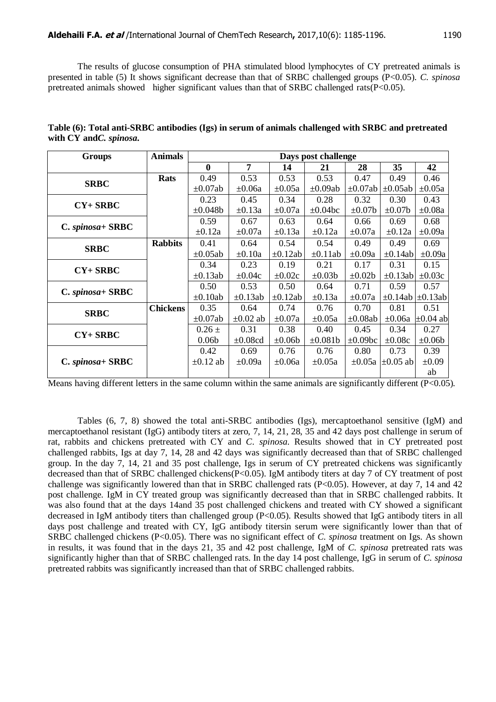The results of glucose consumption of PHA stimulated blood lymphocytes of CY pretreated animals is presented in table (5) It shows significant decrease than that of SRBC challenged groups (P<0.05). *C. spinosa* pretreated animals showed higher significant values than that of SRBC challenged rats( $P<0.05$ ).

| Table (6): Total anti-SRBC antibodies (Igs) in serum of animals challenged with SRBC and pretreated |  |  |  |
|-----------------------------------------------------------------------------------------------------|--|--|--|
| with CY and C. spinosa.                                                                             |  |  |  |

| <b>Groups</b>       | <b>Animals</b>  |                   | Days post challenge |              |               |               |                           |                         |  |  |
|---------------------|-----------------|-------------------|---------------------|--------------|---------------|---------------|---------------------------|-------------------------|--|--|
|                     |                 | $\mathbf{0}$      | 7                   | 14           | 21            | 28            | 35                        | 42                      |  |  |
| <b>SRBC</b>         | <b>Rats</b>     | 0.49              | 0.53                | 0.53         | 0.53          | 0.47          | 0.49                      | 0.46                    |  |  |
|                     |                 | $\pm 0.07ab$      | $\pm 0.06a$         | $\pm 0.05a$  | $\pm 0.09ab$  | $\pm 0.07$ ab | $\pm 0.05ab$              | $\pm 0.05a$             |  |  |
| $CY+SRBC$           |                 | 0.23              | 0.45                | 0.34         | 0.28          | 0.32          | 0.30                      | 0.43                    |  |  |
|                     |                 | $\pm 0.048b$      | $\pm 0.13a$         | $\pm 0.07a$  | $\pm 0.04$ bc | $\pm 0.07$ b  | $\pm 0.07$ b              | $\pm 0.08a$             |  |  |
|                     |                 | 0.59              | 0.67                | 0.63         | 0.64          | 0.66          | 0.69                      | 0.68                    |  |  |
| $C. spinosa + SRBC$ |                 | $\pm 0.12a$       | $\pm 0.07a$         | $\pm 0.13a$  | $\pm 0.12a$   | $\pm 0.07a$   | $\pm 0.12a$               | $\pm 0.09a$             |  |  |
|                     | <b>Rabbits</b>  | 0.41              | 0.64                | 0.54         | 0.54          | 0.49          | 0.49                      | 0.69                    |  |  |
| <b>SRBC</b>         |                 | $\pm 0.05ab$      | $\pm 0.10a$         | $\pm 0.12ab$ | $\pm 0.11$ ab | $\pm 0.09a$   | $\pm 0.14ab$              | $\pm 0.09a$             |  |  |
| $CY+SRBC$           |                 | 0.34              | 0.23                | 0.19         | 0.21          | 0.17          | 0.31                      | 0.15                    |  |  |
|                     |                 | $\pm 0.13ab$      | $\pm 0.04c$         | $\pm 0.02c$  | $\pm 0.03b$   | $\pm 0.02b$   | $\pm 0.13$ ab             | $\pm 0.03c$             |  |  |
| $C. spinosa + SRBC$ |                 | 0.50              | 0.53                | 0.50         | 0.64          | 0.71          | 0.59                      | 0.57                    |  |  |
|                     |                 | $\pm 0.10$ ab     | $\pm 0.13ab$        | $\pm 0.12ab$ | $\pm 0.13a$   | $\pm 0.07a$   |                           | $\pm 0.14ab \pm 0.13ab$ |  |  |
| <b>SRBC</b>         | <b>Chickens</b> | 0.35              | 0.64                | 0.74         | 0.76          | 0.70          | 0.81                      | 0.51                    |  |  |
|                     |                 | $\pm 0.07ab$      | $\pm 0.02$ ab       | $\pm 0.07a$  | $\pm 0.05a$   | $\pm 0.08ab$  | $\pm 0.06a$               | $\pm 0.04$ ab           |  |  |
| $CY+SRBC$           |                 | $0.26 \pm$        | 0.31                | 0.38         | 0.40          | 0.45          | 0.34                      | 0.27                    |  |  |
|                     |                 | 0.06 <sub>b</sub> | $\pm 0.08$ cd       | $\pm 0.06b$  | $\pm 0.081b$  | $\pm 0.09$ bc | $\pm 0.08c$               | $\pm 0.06b$             |  |  |
|                     |                 | 0.42              | 0.69                | 0.76         | 0.76          | 0.80          | 0.73                      | 0.39                    |  |  |
| $C. spinosa + SRBC$ |                 | $\pm 0.12$ ab     | $\pm 0.09a$         | $\pm 0.06a$  | $\pm 0.05a$   |               | $\pm 0.05a$ $\pm 0.05$ ab | $\pm 0.09$              |  |  |
|                     |                 |                   |                     |              |               |               |                           | ab                      |  |  |

Means having different letters in the same column within the same animals are significantly different  $(P<0.05)$ .

Tables (6, 7, 8) showed the total anti-SRBC antibodies (Igs), mercaptoethanol sensitive (IgM) and mercaptoethanol resistant (IgG) antibody titers at zero, 7, 14, 21, 28, 35 and 42 days post challenge in serum of rat, rabbits and chickens pretreated with CY and *C. spinosa*. Results showed that in CY pretreated post challenged rabbits, Igs at day 7, 14, 28 and 42 days was significantly decreased than that of SRBC challenged group. In the day 7, 14, 21 and 35 post challenge, Igs in serum of CY pretreated chickens was significantly decreased than that of SRBC challenged chickens(P<0.05). IgM antibody titers at day 7 of CY treatment of post challenge was significantly lowered than that in SRBC challenged rats ( $P<0.05$ ). However, at day 7, 14 and 42 post challenge. IgM in CY treated group was significantly decreased than that in SRBC challenged rabbits. It was also found that at the days 14and 35 post challenged chickens and treated with CY showed a significant decreased in IgM antibody titers than challenged group (P<0.05). Results showed that IgG antibody titers in all days post challenge and treated with CY, IgG antibody titersin serum were significantly lower than that of SRBC challenged chickens (P<0.05). There was no significant effect of *C. spinosa* treatment on Igs. As shown in results, it was found that in the days 21, 35 and 42 post challenge, IgM of *C. spinosa* pretreated rats was significantly higher than that of SRBC challenged rats. In the day 14 post challenge, IgG in serum of *C. spinosa*  pretreated rabbits was significantly increased than that of SRBC challenged rabbits.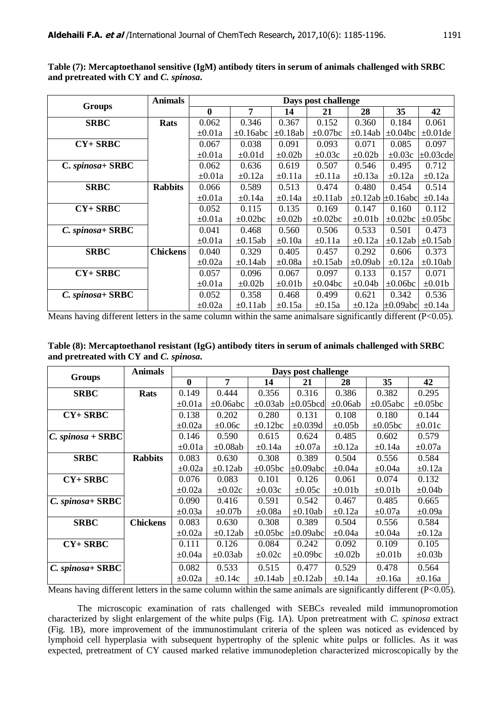|                  | <b>Animals</b>  |             |                |              | Days post challenge |              |                              |                |
|------------------|-----------------|-------------|----------------|--------------|---------------------|--------------|------------------------------|----------------|
| <b>Groups</b>    |                 | $\bf{0}$    | 7              | 14           | 21                  | 28           | 35                           | 42             |
| <b>SRBC</b>      | <b>Rats</b>     | 0.062       | 0.346          | 0.367        | 0.152               | 0.360        | 0.184                        | 0.061          |
|                  |                 | $\pm 0.01a$ | $\pm 0.16$ abc | $\pm 0.18ab$ | $\pm 0.07$ bc       | $\pm 0.14ab$ | $\pm 0.04$ bc                | $\pm 0.01$ de  |
| $CY+SRBC$        |                 | 0.067       | 0.038          | 0.091        | 0.093               | 0.071        | 0.085                        | 0.097          |
|                  |                 | $\pm 0.01a$ | $\pm 0.01d$    | $\pm 0.02b$  | $\pm 0.03c$         | $\pm 0.02b$  | $\pm 0.03c$                  | $\pm 0.03$ cde |
| C. spinosa+ SRBC |                 | 0.062       | 0.636          | 0.619        | 0.507               | 0.546        | 0.495                        | 0.712          |
|                  |                 | $\pm 0.01a$ | $\pm 0.12a$    | $\pm 0.11a$  | $\pm 0.11a$         | $\pm 0.13a$  | $\pm 0.12a$                  | $\pm 0.12a$    |
| <b>SRBC</b>      | <b>Rabbits</b>  | 0.066       | 0.589          | 0.513        | 0.474               | 0.480        | 0.454                        | 0.514          |
|                  |                 | $\pm 0.01a$ | $\pm 0.14a$    | $\pm 0.14a$  | $\pm 0.11$ ab       |              | $\pm 0.12$ ab $\pm 0.16$ abc | $\pm 0.14a$    |
| $CY+SRBC$        |                 | 0.052       | 0.115          | 0.135        | 0.169               | 0.147        | 0.160                        | 0.112          |
|                  |                 | $\pm 0.01a$ | $\pm 0.02$ bc  | $\pm 0.02b$  | $\pm 0.02$ bc       | $\pm 0.01$   | $\pm 0.02$ bc                | $\pm 0.05$ bc  |
| C. spinosa+SRBC  |                 | 0.041       | 0.468          | 0.560        | 0.506               | 0.533        | 0.501                        | 0.473          |
|                  |                 | $\pm 0.01a$ | $\pm 0.15ab$   | $\pm 0.10a$  | $\pm 0.11a$         | $\pm 0.12a$  | $\pm 0.12ab$                 | $\pm 0.15ab$   |
| <b>SRBC</b>      | <b>Chickens</b> | 0.040       | 0.329          | 0.405        | 0.457               | 0.292        | 0.606                        | 0.373          |
|                  |                 | $\pm 0.02a$ | $\pm 0.14ab$   | $\pm 0.08a$  | $\pm 0.15ab$        | $\pm 0.09ab$ | $\pm 0.12a$                  | $\pm 0.10ab$   |
| $CY+SRBC$        |                 | 0.057       | 0.096          | 0.067        | 0.097               | 0.133        | 0.157                        | 0.071          |
|                  |                 | $\pm 0.01a$ | $\pm 0.02b$    | $\pm 0.01$ b | $\pm 0.04$ bc       | $\pm 0.04b$  | $\pm 0.06$ bc                | $\pm 0.01$     |
| C. spinosa+ SRBC |                 | 0.052       | 0.358          | 0.468        | 0.499               | 0.621        | 0.342                        | 0.536          |
|                  |                 | $\pm 0.02a$ | $\pm 0.11$ ab  | $\pm 0.15a$  | $\pm 0.15a$         | $\pm 0.12a$  | $\pm 0.09$ abc               | $\pm 0.14a$    |

**Table (7): Mercaptoethanol sensitive (IgM) antibody titers in serum of animals challenged with SRBC and pretreated with CY and** *C. spinosa***.**

Means having different letters in the same column within the same animalsare significantly different  $(P<0.05)$ .

**Table (8): Mercaptoethanol resistant (IgG) antibody titers in serum of animals challenged with SRBC and pretreated with CY and** *C. spinosa***.**

|                     | <b>Animals</b>  |             |                |               | Days post challenge |              |                |               |
|---------------------|-----------------|-------------|----------------|---------------|---------------------|--------------|----------------|---------------|
| <b>Groups</b>       |                 | $\bf{0}$    | 7              | 14            | 21                  | 28           | 35             | 42            |
| <b>SRBC</b>         | <b>Rats</b>     | 0.149       | 0.444          | 0.356         | 0.316               | 0.386        | 0.382          | 0.295         |
|                     |                 | $\pm 0.01a$ | $\pm 0.06$ abc | $\pm 0.03ab$  | $\pm 0.05$ bcd      | $\pm 0.06ab$ | $\pm 0.05$ abc | $\pm 0.05$ bc |
| $CY+SRBC$           |                 | 0.138       | 0.202          | 0.280         | 0.131               | 0.108        | 0.180          | 0.144         |
|                     |                 | $\pm 0.02a$ | $\pm 0.06c$    | $\pm 0.12$ bc | $\pm 0.039d$        | $\pm 0.05b$  | $\pm 0.05$ bc  | $\pm 0.01c$   |
| $C. spinosa + SRBC$ |                 | 0.146       | 0.590          | 0.615         | 0.624               | 0.485        | 0.602          | 0.579         |
|                     |                 | $\pm 0.01a$ | $\pm 0.08ab$   | $\pm 0.14a$   | $\pm 0.07a$         | $\pm 0.12a$  | $\pm 0.14a$    | $\pm 0.07a$   |
| <b>SRBC</b>         | <b>Rabbits</b>  | 0.083       | 0.630          | 0.308         | 0.389               | 0.504        | 0.556          | 0.584         |
|                     |                 | $\pm 0.02a$ | $\pm 0.12ab$   | $\pm 0.05$ bc | $\pm 0.09$ abcl     | $\pm 0.04a$  | $\pm 0.04a$    | $\pm 0.12a$   |
| $CY+SRBC$           |                 | 0.076       | 0.083          | 0.101         | 0.126               | 0.061        | 0.074          | 0.132         |
|                     |                 | $\pm 0.02a$ | $\pm 0.02c$    | $\pm 0.03c$   | $\pm 0.05c$         | $\pm 0.01$   | $\pm 0.01$     | $\pm 0.04b$   |
| C. spinosa+ SRBC    |                 | 0.090       | 0.416          | 0.591         | 0.542               | 0.467        | 0.485          | 0.665         |
|                     |                 | $\pm 0.03a$ | $\pm 0.07$ b   | $\pm 0.08a$   | $\pm 0.10ab$        | $\pm 0.12a$  | $\pm 0.07a$    | $\pm 0.09a$   |
| <b>SRBC</b>         | <b>Chickens</b> | 0.083       | 0.630          | 0.308         | 0.389               | 0.504        | 0.556          | 0.584         |
|                     |                 | $\pm 0.02a$ | $\pm 0.12ab$   | $\pm 0.05$ bc | $\pm 0.09$ abcl     | $\pm 0.04a$  | $\pm 0.04a$    | $\pm 0.12a$   |
| $CY+SRBC$           |                 | 0.111       | 0.126          | 0.084         | 0.242               | 0.092        | 0.109          | 0.105         |
|                     |                 | $\pm 0.04a$ | $\pm 0.03ab$   | $\pm 0.02c$   | $\pm 0.09$ bc       | $\pm 0.02b$  | $\pm 0.01$ b   | $\pm 0.03b$   |
| $C. spinosa + SRBC$ |                 | 0.082       | 0.533          | 0.515         | 0.477               | 0.529        | 0.478          | 0.564         |
|                     |                 | $\pm 0.02a$ | $\pm 0.14c$    | $\pm 0.14ab$  | $\pm 0.12ab$        | $\pm 0.14a$  | $\pm 0.16a$    | $\pm 0.16a$   |

Means having different letters in the same column within the same animals are significantly different  $(P<0.05)$ .

The microscopic examination of rats challenged with SEBCs revealed mild immunopromotion characterized by slight enlargement of the white pulps (Fig. 1A). Upon pretreatment with *C. spinosa* extract (Fig. 1B), more improvement of the immunostimulant criteria of the spleen was noticed as evidenced by lymphoid cell hyperplasia with subsequent hypertrophy of the splenic white pulps or follicles. As it was expected, pretreatment of CY caused marked relative immunodepletion characterized microscopically by the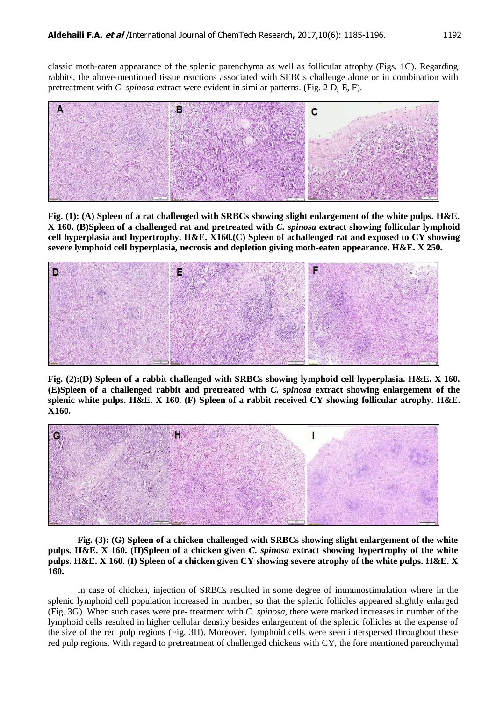classic moth-eaten appearance of the splenic parenchyma as well as follicular atrophy (Figs. 1C). Regarding rabbits, the above-mentioned tissue reactions associated with SEBCs challenge alone or in combination with pretreatment with *C. spinosa* extract were evident in similar patterns. (Fig. 2 D, E, F).



**Fig. (1): (A) Spleen of a rat challenged with SRBCs showing slight enlargement of the white pulps. H&E. X 160. (B)Spleen of a challenged rat and pretreated with** *C. spinosa* **extract showing follicular lymphoid cell hyperplasia and hypertrophy. H&E. X160.(C) Spleen of achallenged rat and exposed to CY showing severe lymphoid cell hyperplasia, necrosis and depletion giving moth-eaten appearance. H&E. X 250.**



**Fig. (2):(D) Spleen of a rabbit challenged with SRBCs showing lymphoid cell hyperplasia. H&E. X 160. (E)Spleen of a challenged rabbit and pretreated with** *C. spinosa* **extract showing enlargement of the splenic white pulps. H&E. X 160. (F) Spleen of a rabbit received CY showing follicular atrophy. H&E. X160.**



**Fig. (3): (G) Spleen of a chicken challenged with SRBCs showing slight enlargement of the white pulps. H&E. X 160. (H)Spleen of a chicken given** *C. spinosa* **extract showing hypertrophy of the white pulps. H&E. X 160. (I) Spleen of a chicken given CY showing severe atrophy of the white pulps. H&E. X 160.**

In case of chicken, injection of SRBCs resulted in some degree of immunostimulation where in the splenic lymphoid cell population increased in number, so that the splenic follicles appeared slightly enlarged (Fig. 3G). When such cases were pre- treatment with *C. spinosa*, there were marked increases in number of the lymphoid cells resulted in higher cellular density besides enlargement of the splenic follicles at the expense of the size of the red pulp regions (Fig. 3H). Moreover, lymphoid cells were seen interspersed throughout these red pulp regions. With regard to pretreatment of challenged chickens with CY, the fore mentioned parenchymal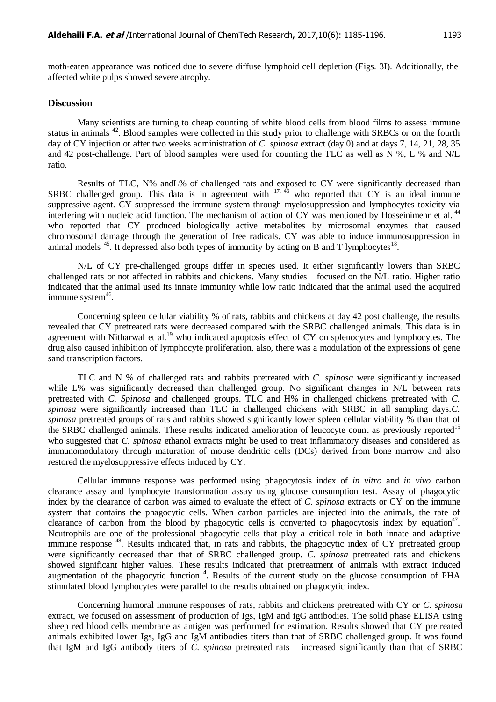moth-eaten appearance was noticed due to severe diffuse lymphoid cell depletion (Figs. 3I). Additionally, the affected white pulps showed severe atrophy.

#### **Discussion**

Many scientists are turning to cheap counting of white blood cells from blood films to assess immune status in animals <sup>42</sup>. Blood samples were collected in this study prior to challenge with SRBCs or on the fourth day of CY injection or after two weeks administration of *C. spinosa* extract (day 0) and at days 7, 14, 21, 28, 35 and 42 post-challenge. Part of blood samples were used for counting the TLC as well as N %, L % and N/L ratio.

Results of TLC, N% andL% of challenged rats and exposed to CY were significantly decreased than SRBC challenged group. This data is in agreement with  $17, 43$  who reported that CY is an ideal immune suppressive agent. CY suppressed the immune system through myelosuppression and lymphocytes toxicity via interfering with nucleic acid function. The mechanism of action of CY was mentioned by Hosseinimehr et al.<sup>44</sup> who reported that CY produced biologically active metabolites by microsomal enzymes that caused chromosomal damage through the generation of free radicals. CY was able to induce immunosuppression in animal models  $45$ . It depressed also both types of immunity by acting on B and T lymphocytes  $18$ .

N/L of CY pre-challenged groups differ in species used. It either significantly lowers than SRBC challenged rats or not affected in rabbits and chickens. Many studies focused on the N/L ratio. Higher ratio indicated that the animal used its innate immunity while low ratio indicated that the animal used the acquired immune system<sup>46</sup>.

Concerning spleen cellular viability % of rats, rabbits and chickens at day 42 post challenge, the results revealed that CY pretreated rats were decreased compared with the SRBC challenged animals. This data is in agreement with Nitharwal et al.<sup>19</sup> who indicated apoptosis effect of CY on splenocytes and lymphocytes. The drug also caused inhibition of lymphocyte proliferation, also, there was a modulation of the expressions of gene sand transcription factors.

TLC and N % of challenged rats and rabbits pretreated with *C. spinosa* were significantly increased while L% was significantly decreased than challenged group. No significant changes in N/L between rats pretreated with *C. Spinosa* and challenged groups. TLC and H% in challenged chickens pretreated with *C. spinosa* were significantly increased than TLC in challenged chickens with SRBC in all sampling days.*C. spinosa* pretreated groups of rats and rabbits showed significantly lower spleen cellular viability % than that of the SRBC challenged animals. These results indicated amelioration of leucocyte count as previously reported<sup>15</sup> who suggested that *C. spinosa* ethanol extracts might be used to treat inflammatory diseases and considered as immunomodulatory through maturation of mouse dendritic cells (DCs) derived from bone marrow and also restored the myelosuppressive effects induced by CY.

Cellular immune response was performed using phagocytosis index of *in vitro* and *in vivo* carbon clearance assay and lymphocyte transformation assay using glucose consumption test. Assay of phagocytic index by the clearance of carbon was aimed to evaluate the effect of *C. spinosa* extracts or CY on the immune system that contains the phagocytic cells. When carbon particles are injected into the animals, the rate of clearance of carbon from the blood by phagocytic cells is converted to phagocytosis index by equation<sup>47</sup>. Neutrophils are one of the professional phagocytic cells that play a critical role in both innate and adaptive immune response <sup>48</sup>. Results indicated that, in rats and rabbits, the phagocytic index of CY pretreated group were significantly decreased than that of SRBC challenged group. *C. spinosa* pretreated rats and chickens showed significant higher values. These results indicated that pretreatment of animals with extract induced augmentation of the phagocytic function **<sup>4</sup> .** Results of the current study on the glucose consumption of PHA stimulated blood lymphocytes were parallel to the results obtained on phagocytic index.

Concerning humoral immune responses of rats, rabbits and chickens pretreated with CY or *C. spinosa* extract, we focused on assessment of production of Igs, IgM and igG antibodies. The solid phase ELISA using sheep red blood cells membrane as antigen was performed for estimation. Results showed that CY pretreated animals exhibited lower Igs, IgG and IgM antibodies titers than that of SRBC challenged group. It was found that IgM and IgG antibody titers of *C. spinosa* pretreated rats increased significantly than that of SRBC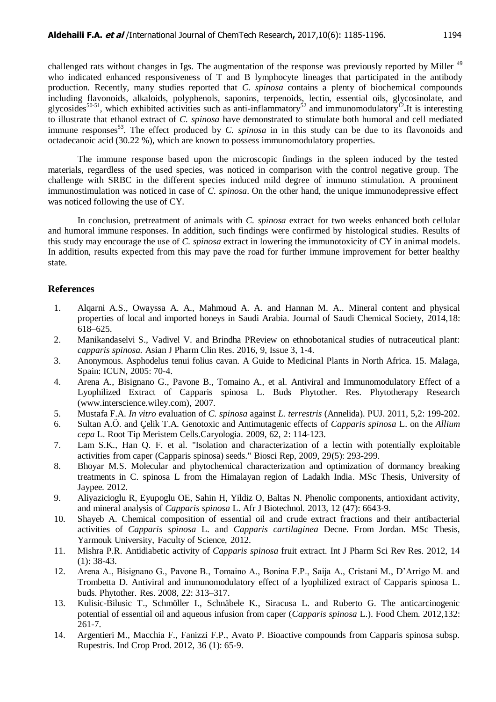challenged rats without changes in Igs. The augmentation of the response was previously reported by Miller <sup>49</sup> who indicated enhanced responsiveness of T and B lymphocyte lineages that participated in the antibody production. Recently, many studies reported that *C. spinosa* contains a plenty of biochemical compounds including flavonoids, alkaloids, polyphenols, saponins, terpenoids, lectin, essential oils, glycosinolate, and glycosides<sup>50-51</sup>, which exhibited activities such as anti-inflammatory<sup>52</sup> and immunomodulatory<sup>12</sup>. It is interesting to illustrate that ethanol extract of *C. spinosa* have demonstrated to stimulate both humoral and cell mediated immune responses<sup>53</sup>. The effect produced by *C. spinosa* in in this study can be due to its flavonoids and octadecanoic acid (30.22 %), which are known to possess immunomodulatory properties.

The immune response based upon the microscopic findings in the spleen induced by the tested materials, regardless of the used species, was noticed in comparison with the control negative group. The challenge with SRBC in the different species induced mild degree of immuno stimulation. A prominent immunostimulation was noticed in case of *C. spinosa*. On the other hand, the unique immunodepressive effect was noticed following the use of CY.

In conclusion, pretreatment of animals with *C. spinosa* extract for two weeks enhanced both cellular and humoral immune responses. In addition, such findings were confirmed by histological studies. Results of this study may encourage the use of *C. spinosa* extract in lowering the immunotoxicity of CY in animal models. In addition, results expected from this may pave the road for further immune improvement for better healthy state.

## **References**

- 1. Alqarni A.S., Owayssa A. A., Mahmoud A. A. and Hannan M. A.. Mineral content and physical properties of local and imported honeys in Saudi Arabia. Journal of Saudi Chemical Society, 2014,18: 618–625.
- 2. Manikandaselvi S., Vadivel V. and Brindha PReview on ethnobotanical studies of nutraceutical plant: *capparis spinosa.* Asian J Pharm Clin Res. 2016, 9, Issue 3, 1-4.
- 3. Anonymous. Asphodelus tenui folius cavan. A Guide to Medicinal Plants in North Africa. 15. Malaga, Spain: ICUN, 2005: 70-4.
- 4. Arena A., Bisignano G., Pavone B., Tomaino A., et al. Antiviral and Immunomodulatory Effect of a Lyophilized Extract of Capparis spinosa L. Buds Phytother. Res. Phytotherapy Research (www.interscience.wiley.com), 2007.
- 5. Mustafa F.A. *In vitro* evaluation of *C. spinosa* against *L. terrestris* (Annelida). PUJ. 2011, 5,2: 199-202.
- 6. Sultan A.Ö. and Çelik T.A. Genotoxic and Antimutagenic effects of *Capparis spinosa* L. on the *Allium cepa* L. Root Tip Meristem Cells.Caryologia. 2009, 62, 2: 114-123.
- 7. Lam S.K., Han Q. F. et al. "Isolation and characterization of a lectin with potentially exploitable activities from caper (Capparis spinosa) seeds." Biosci Rep, 2009, 29(5): 293-299.
- 8. Bhoyar M.S. Molecular and phytochemical characterization and optimization of dormancy breaking treatments in C. spinosa L from the Himalayan region of Ladakh India. MSc Thesis, University of Jaypee. 2012.
- 9. Aliyazicioglu R, Eyupoglu OE, Sahin H, Yildiz O, Baltas N. Phenolic components, antioxidant activity, and mineral analysis of *Capparis spinosa* L. Afr J Biotechnol. 2013, 12 (47): 6643-9.
- 10. Shayeb A. Chemical composition of essential oil and crude extract fractions and their antibacterial activities of *Capparis spinosa* L. and *Capparis cartilaginea* Decne. From Jordan. MSc Thesis, Yarmouk University, Faculty of Science, 2012.
- 11. Mishra P.R. Antidiabetic activity of *Capparis spinosa* fruit extract. Int J Pharm Sci Rev Res. 2012, 14 (1): 38-43.
- 12. Arena A., Bisignano G., Pavone B., Tomaino A., Bonina F.P., Saija A., Cristani M., D"Arrigo M. and Trombetta D. Antiviral and immunomodulatory effect of a lyophilized extract of Capparis spinosa L. buds. Phytother. Res. 2008, 22: 313–317.
- 13. Kulisic-Bilusic T., Schmöller I., Schnäbele K., Siracusa L. and Ruberto G. The anticarcinogenic potential of essential oil and aqueous infusion from caper (*Capparis spinosa* L.). Food Chem. 2012,132: 261-7.
- 14. Argentieri M., Macchia F., Fanizzi F.P., Avato P. Bioactive compounds from Capparis spinosa subsp. Rupestris. Ind Crop Prod. 2012, 36 (1): 65-9.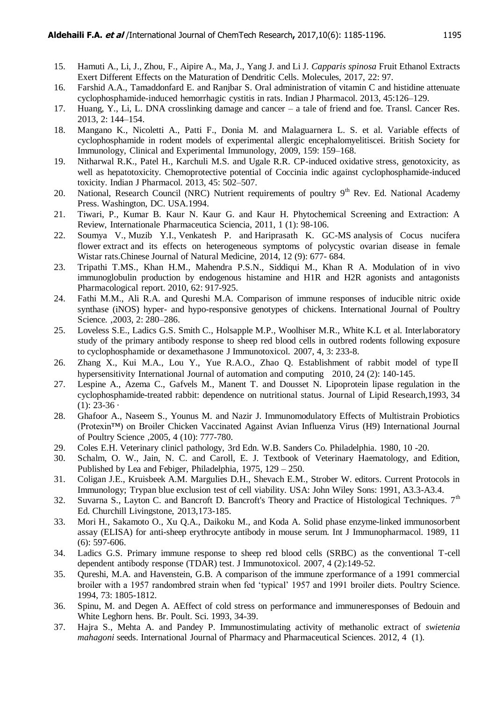- 15. Hamuti A., Li, J., Zhou, F., Aipire A., Ma, J., Yang J. and Li J. *Capparis spinosa* Fruit Ethanol Extracts Exert Different Effects on the Maturation of Dendritic Cells. Molecules, 2017, 22: 97.
- 16. Farshid A.A., Tamaddonfard E. and Ranjbar S. Oral administration of vitamin C and histidine attenuate cyclophosphamide-induced hemorrhagic cystitis in rats. Indian J Pharmacol. 2013, 45:126–129.
- 17. Huang, Y., Li, L. DNA crosslinking damage and cancer a tale of friend and foe. Transl. Cancer Res. 2013, 2: 144–154.
- 18. Mangano K., Nicoletti A., Patti F., Donia M. and Malaguarnera L. S. et al. Variable effects of cyclophosphamide in rodent models of experimental allergic encephalomyelitiscei. British Society for Immunology, Clinical and Experimental Immunology, 2009, 159: 159–168.
- 19. Nitharwal R.K., Patel H., Karchuli M.S. and Ugale R.R. CP-induced oxidative stress, genotoxicity, as well as hepatotoxicity. Chemoprotective potential of Coccinia indic against cyclophosphamide-induced toxicity. Indian J Pharmacol. 2013, 45: 502–507.
- 20. National, Research Council (NRC) Nutrient requirements of poultry  $9<sup>th</sup>$  Rev. Ed. National Academy Press. Washington, DC. USA.1994.
- 21. Tiwari, P., Kumar B. Kaur N. Kaur G. and Kaur H. Phytochemical Screening and Extraction: A Review, Internationale Pharmaceutica Sciencia, 2011, 1 (1): 98-106.
- 22. [Soumya V.](http://www.ncbi.nlm.nih.gov/pubmed/?term=Soumya%20V%5BAuthor%5D&cauthor=true&cauthor_uid=25263979), [Muzib Y.I.](http://www.ncbi.nlm.nih.gov/pubmed/?term=Muzib%20YI%5BAuthor%5D&cauthor=true&cauthor_uid=25263979), [Venkatesh P.](http://www.ncbi.nlm.nih.gov/pubmed/?term=Venkatesh%20P%5BAuthor%5D&cauthor=true&cauthor_uid=25263979) and [Hariprasath K.](http://www.ncbi.nlm.nih.gov/pubmed/?term=Hariprasath%20K%5BAuthor%5D&cauthor=true&cauthor_uid=25263979) GC-MS analysis of Cocus nucifera flower extract and its effects on heterogeneous symptoms of polycystic ovarian disease in female Wistar rat[s.Chinese Journal of Natural Medicine,](http://www.ncbi.nlm.nih.gov/pubmed/25263979) 2014, 12 (9): 677- 684.
- 23. Tripathi T.MS., Khan H.M., Mahendra P.S.N., Siddiqui M., Khan R A. Modulation of in vivo immunoglobulin production by endogenous histamine and H1R and H2R agonists and antagonists Pharmacological report. 2010, 62: 917-925.
- 24. Fathi M.M., Ali R.A. and Qureshi M.A. Comparison of immune responses of inducible nitric oxide synthase (iNOS) hyper- and hypo-responsive genotypes of chickens. International Journal of Poultry Science. ,2003, 2: 280–286.
- 25. Loveless S.E., Ladics G.S. Smith C., Holsapple M.P., Woolhiser M.R., White K.L et al. Interlaboratory study of the primary antibody response to sheep red blood cells in outbred rodents following exposure to cyclophosphamide or dexamethasone J Immunotoxicol. 2007, 4, 3: 233-8.
- 26. Zhang X., Kui M.A., Lou Y., Yue R.A.O., Zhao Q. Establishment of rabbit model of typeⅡ hypersensitivity International Journal of automation and computing 2010, 24 (2): 140-145.
- 27. Lespine A., Azema C., Gafvels M., Manent T. and Dousset N. Lipoprotein lipase regulation in the cyclophosphamide-treated rabbit: dependence on nutritional status. [Journal of Lipid Research,](https://www.researchgate.net/journal/0022-2275_Journal_of_Lipid_Research)1993, 34  $(1)$ : 23-36 ·
- 28. Ghafoor A., Naseem S., Younus M. and Nazir J. Immunomodulatory Effects of Multistrain Probiotics (Protexin™) on Broiler Chicken Vaccinated Against Avian Influenza Virus (H9) International Journal of Poultry Science ,2005, 4 (10): 777-780.
- 29. Coles E.H. Veterinary clinicl pathology, 3rd Edn. W.B. Sanders Co. Philadelphia. 1980, 10 -20.
- 30. Schalm, O. W., Jain, N. C. and Caroll, E. J. Textbook of Veterinary Haematology, and Edition, Published by Lea and Febiger, Philadelphia, 1975, 129 – 250.
- 31. Coligan J.E., Kruisbeek A.M. Margulies D.H., Shevach E.M., Strober W. editors. Current Protocols in Immunology; Trypan blue exclusion test of cell viability. USA: John Wiley Sons: 1991, A3.3-A3.4.
- 32. Suvarna S., Layton C. and Bancroft D. Bancroft's Theory and Practice of Histological Techniques.  $7<sup>th</sup>$ Ed. Churchill Livingstone, 2013,173-185.
- 33. Mori H., Sakamoto O., Xu Q.A., Daikoku M., and Koda A. Solid phase enzyme-linked immunosorbent assay (ELISA) for anti-sheep erythrocyte antibody in mouse serum. Int J Immunopharmacol. 1989, 11 (6): 597-606.
- 34. Ladics G.S. Primary immune response to sheep red blood cells (SRBC) as the conventional T-cell dependent antibody response (TDAR) test. J Immunotoxicol. 2007, 4 (2):149-52.
- 35. Qureshi, M.A. and Havenstein, G.B. A comparison of the immune zperformance of a 1991 commercial broiler with a 1957 randombred strain when fed "typical" 1957 and 1991 broiler diets. Poultry Science. 1994, 73: 1805-1812.
- 36. Spinu, M. and Degen A. AEffect of cold stress on performance and immuneresponses of Bedouin and White Leghorn hens. Br. Poult. Sci. 1993, 34-39.
- 37. Hajra S., Mehta A. and Pandey P. Immunostimulating activity of methanolic extract of *swietenia mahagoni* seeds. International Journal of Pharmacy and Pharmaceutical Sciences. 2012, 4 (1).